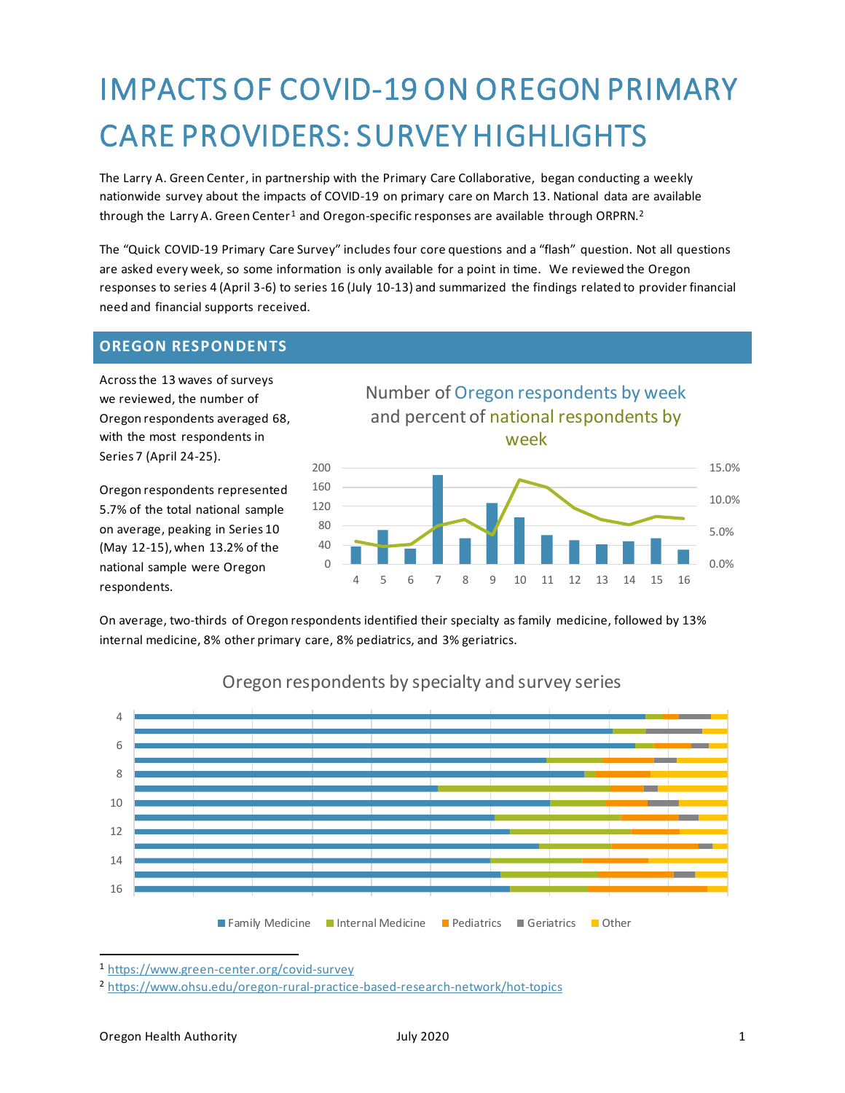# IMPACTS OF COVID-19 ON OREGON PRIMARY CARE PROVIDERS: SURVEY HIGHLIGHTS

The Larry A. Green Center, in partnership with the Primary Care Collaborative, began conducting a weekly nationwide survey about the impacts of COVID-19 on primary care on March 13. National data are available through the Larry A. Green Center<sup>1</sup> and Oregon-specific responses are available through ORPRN.<sup>2</sup>

The "Quick COVID-19 Primary Care Survey" includes four core questions and a "flash" question. Not all questions are asked every week, so some information is only available for a point in time. We reviewed the Oregon responses to series 4 (April 3-6) to series 16 (July 10-13) and summarized the findings related to provider financial need and financial supports received.

#### **OREGON RESPONDENTS**

Across the 13 waves of surveys we reviewed, the number of Oregon respondents averaged 68, with the most respondents in Series 7 (April 24-25).

Oregon respondents represented 5.7% of the total national sample on average, peaking in Series 10 (May 12-15), when 13.2% of the national sample were Oregon respondents.



4 5 6 7 8 9 10 11 12 13 14 15 16

On average, two-thirds of Oregon respondents identified their specialty as family medicine, followed by 13% internal medicine, 8% other primary care, 8% pediatrics, and 3% geriatrics.



### Oregon respondents by specialty and survey series

<sup>1</sup> <https://www.green-center.org/covid-survey>

0

0.0%

<sup>2</sup> <https://www.ohsu.edu/oregon-rural-practice-based-research-network/hot-topics>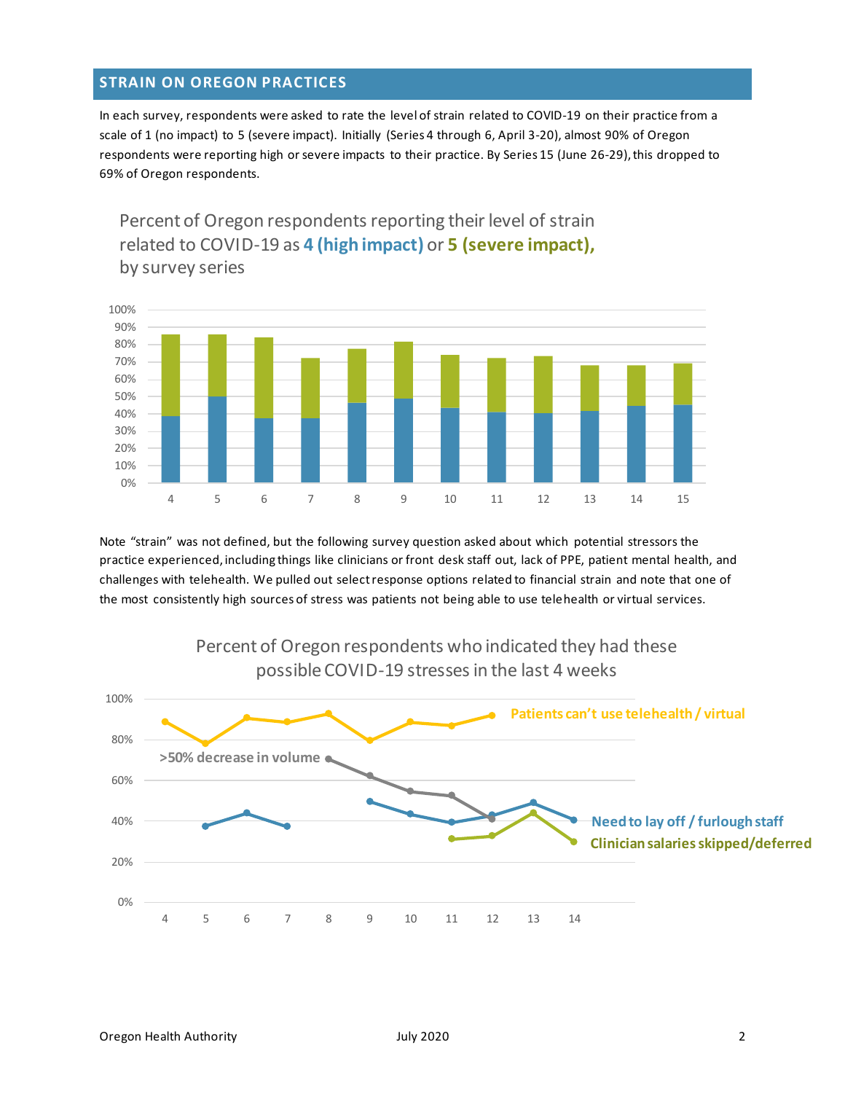#### **STRAIN ON OREGON PRACTICES**

In each survey, respondents were asked to rate the level of strain related to COVID-19 on their practice from a scale of 1 (no impact) to 5 (severe impact). Initially (Series 4 through 6, April 3-20), almost 90% of Oregon respondents were reporting high or severe impacts to their practice. By Series 15 (June 26-29), this dropped to 69% of Oregon respondents.

Percent of Oregon respondents reporting their level of strain related to COVID-19 as **4 (high impact)** or **5 (severe impact),**  by survey series



Note "strain" was not defined, but the following survey question asked about which potential stressors the practice experienced, including things like clinicians or front desk staff out, lack of PPE, patient mental health, and challenges with telehealth. We pulled out select response options related to financial strain and note that one of the most consistently high sources of stress was patients not being able to use telehealth or virtual services.



Percent of Oregon respondents who indicated they had these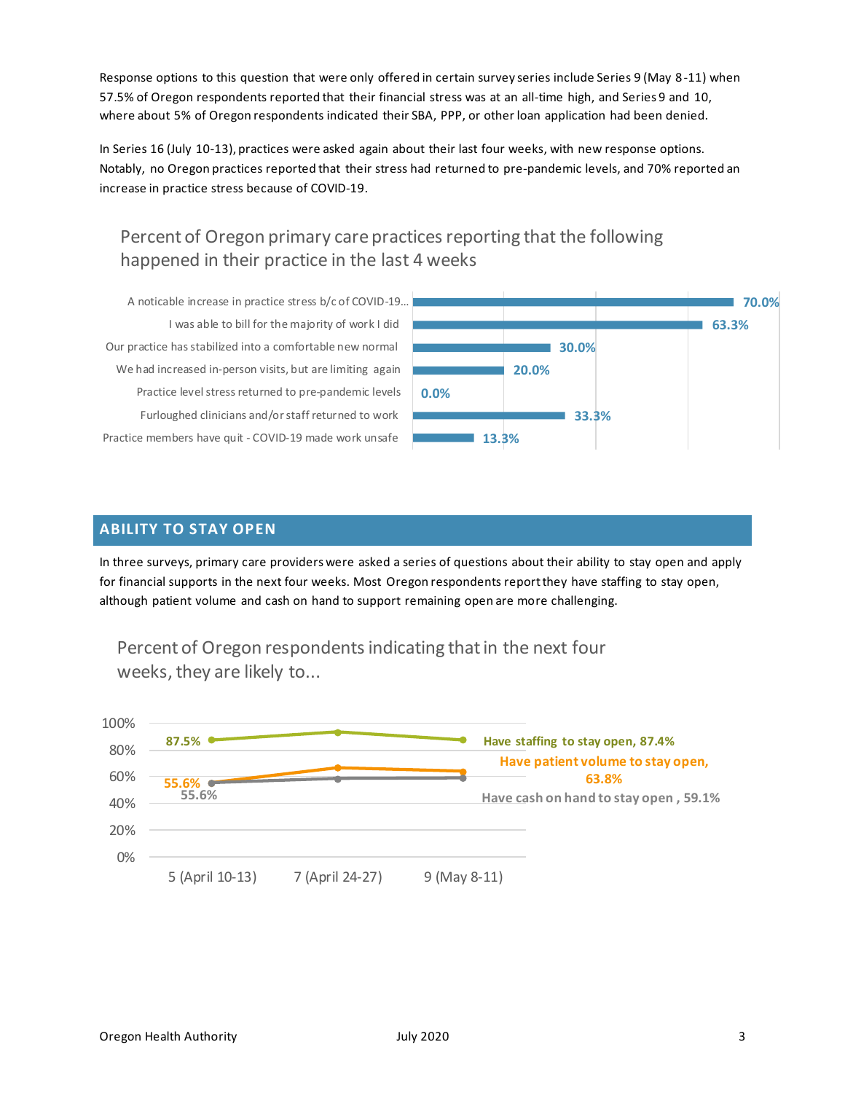Response options to this question that were only offered in certain survey series include Series 9 (May 8-11) when 57.5% of Oregon respondents reported that their financial stress was at an all-time high, and Series 9 and 10, where about 5% of Oregon respondents indicated their SBA, PPP, or other loan application had been denied.

In Series 16 (July 10-13), practices were asked again about their last four weeks, with new response options. Notably, no Oregon practices reported that their stress had returned to pre-pandemic levels, and 70% reported an increase in practice stress because of COVID-19.

## Percent of Oregon primary care practices reporting that the following happened in their practice in the last 4 weeks

Practice members have quit - COVID-19 made work unsafe Furloughed clinicians and/or staff returned to work Practice level stress returned to pre-pandemic levels We had increased in-person visits, but are limiting again Our practice has stabilized into a comfortable new normal I was able to bill for the majority of work I did A noticable increase in practice stress b/c of COVID-19…



#### **ABILITY TO STAY OPEN**

In three surveys, primary care providers were asked a series of questions about their ability to stay open and apply for financial supports in the next four weeks. Most Oregon respondents report they have staffing to stay open, although patient volume and cash on hand to support remaining open are more challenging.



Percent of Oregon respondents indicating that in the next four weeks, they are likely to...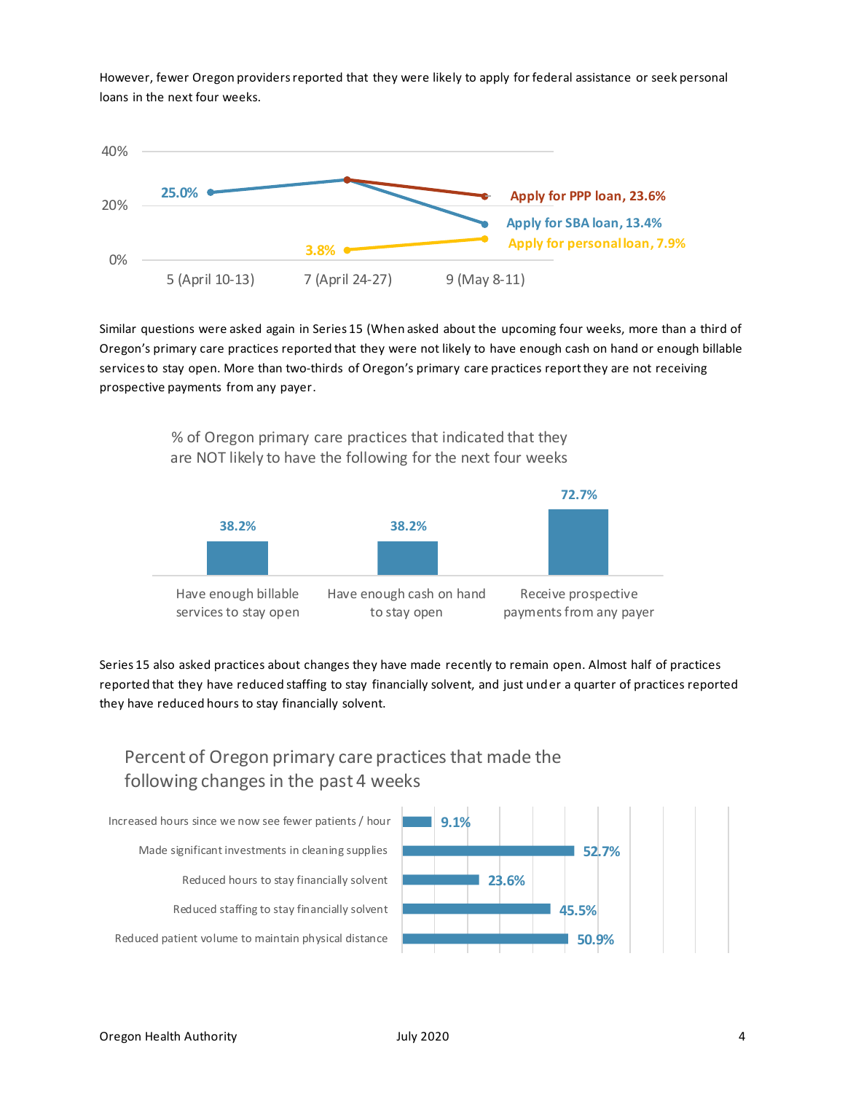However, fewer Oregon providers reported that they were likely to apply for federal assistance or seek personal loans in the next four weeks.



Similar questions were asked again in Series 15 (When asked about the upcoming four weeks, more than a third of Oregon's primary care practices reported that they were not likely to have enough cash on hand or enough billable services to stay open. More than two-thirds of Oregon's primary care practices report they are not receiving prospective payments from any payer.



% of Oregon primary care practices that indicated that they are NOT likely to have the following for the next four weeks

Series 15 also asked practices about changes they have made recently to remain open. Almost half of practices reported that they have reduced staffing to stay financially solvent, and just under a quarter of practices reported they have reduced hours to stay financially solvent.

# Percent of Oregon primary care practices that made the following changes in the past 4 weeks

Reduced patient volume to maintain physical distance Reduced staffing to stay financially solvent Reduced hours to stay financially solvent Made significant investments in cleaning supplies Increased hours since we now see fewer patients / hour

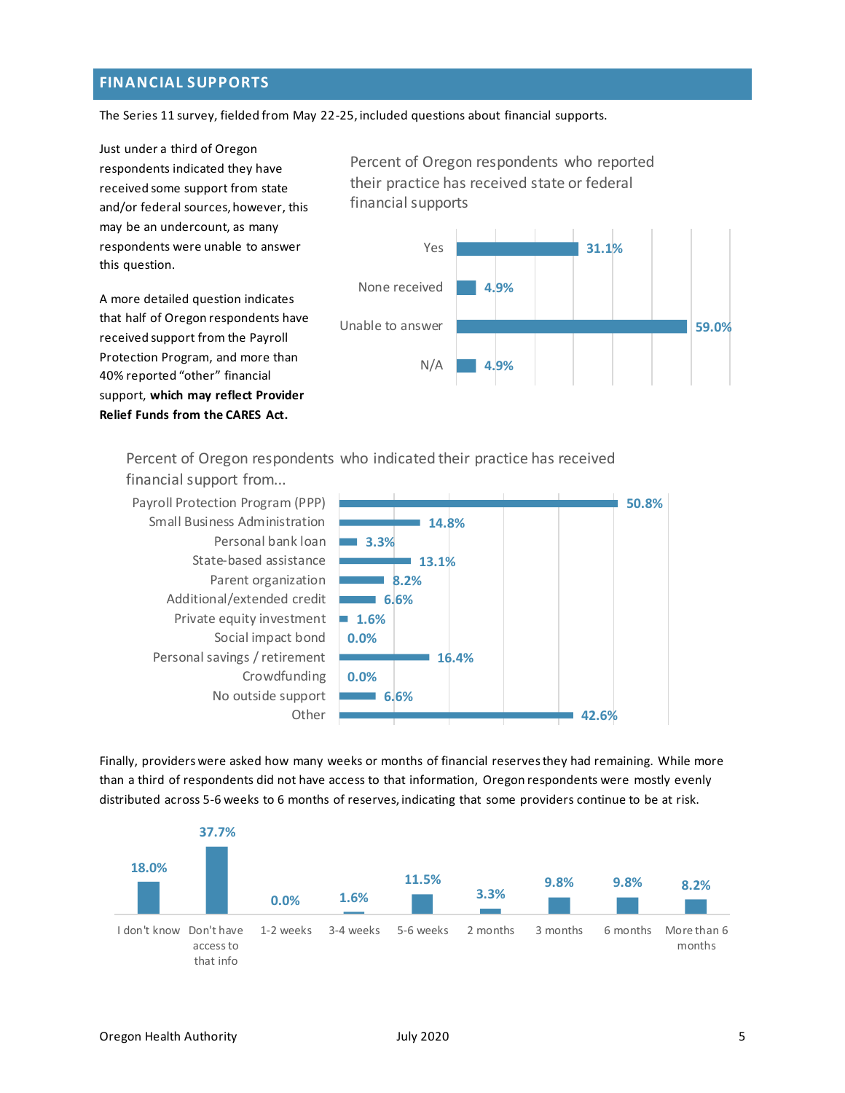#### **FINANCIAL SUPPORTS**

The Series 11 survey, fielded from May 22-25, included questions about financial supports.

Just under a third of Oregon respondents indicated they have received some support from state and/or federal sources, however, this may be an undercount, as many respondents were unable to answer this question.

A more detailed question indicates that half of Oregon respondents have received support from the Payroll Protection Program, and more than 40% reported "other" financial support, **which may reflect Provider Relief Funds from the CARES Act.**

Percent of Oregon respondents who reported their practice has received state or federal financial supports



Percent of Oregon respondents who indicated their practice has received

Payroll Protection Program (PPP) Small Business Administration Personal bank loan State-based assistance Parent organization Additional/extended credit Private equity investment Social impact bond Personal savings / retirement Crowdfunding No outside support **Other** financial support from...



Finally, providers were asked how many weeks or months of financial reserves they had remaining. While more than a third of respondents did not have access to that information, Oregon respondents were mostly evenly distributed across 5-6 weeks to 6 months of reserves, indicating that some providers continue to be at risk.